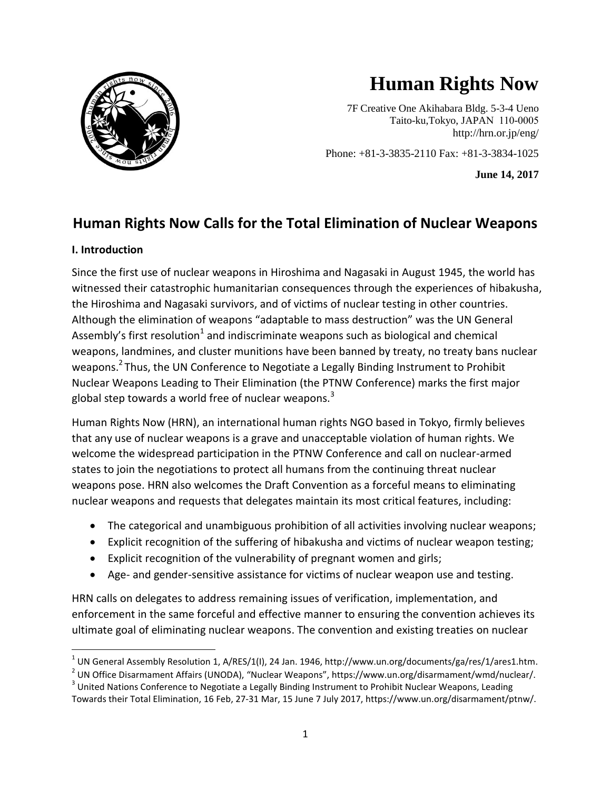

# **Human Rights Now**

7F Creative One Akihabara Bldg. 5-3-4 Ueno Taito-ku,Tokyo, JAPAN 110-0005 http://hrn.or.jp/eng/

Phone: +81-3-3835-2110 Fax: +81-3-3834-1025

**June 14, 2017**

# **Human Rights Now Calls for the Total Elimination of Nuclear Weapons**

#### **I. Introduction**

 $\overline{\phantom{a}}$ 

Since the first use of nuclear weapons in Hiroshima and Nagasaki in August 1945, the world has witnessed their catastrophic humanitarian consequences through the experiences of hibakusha, the Hiroshima and Nagasaki survivors, and of victims of nuclear testing in other countries. Although the elimination of weapons "adaptable to mass destruction" was the UN General Assembly's first resolution<sup>1</sup> and indiscriminate weapons such as biological and chemical weapons, landmines, and cluster munitions have been banned by treaty, no treaty bans nuclear weapons.<sup>2</sup> Thus, the UN Conference to Negotiate a Legally Binding Instrument to Prohibit Nuclear Weapons Leading to Their Elimination (the PTNW Conference) marks the first major global step towards a world free of nuclear weapons. $3$ 

Human Rights Now (HRN), an international human rights NGO based in Tokyo, firmly believes that any use of nuclear weapons is a grave and unacceptable violation of human rights. We welcome the widespread participation in the PTNW Conference and call on nuclear-armed states to join the negotiations to protect all humans from the continuing threat nuclear weapons pose. HRN also welcomes the Draft Convention as a forceful means to eliminating nuclear weapons and requests that delegates maintain its most critical features, including:

- The categorical and unambiguous prohibition of all activities involving nuclear weapons;
- Explicit recognition of the suffering of hibakusha and victims of nuclear weapon testing;
- Explicit recognition of the vulnerability of pregnant women and girls;
- Age- and gender-sensitive assistance for victims of nuclear weapon use and testing.

HRN calls on delegates to address remaining issues of verification, implementation, and enforcement in the same forceful and effective manner to ensuring the convention achieves its ultimate goal of eliminating nuclear weapons. The convention and existing treaties on nuclear

 $^1$  UN General Assembly Resolution 1, A/RES/1(I), 24 Jan. 1946, http://www.un.org/documents/ga/res/1/ares1.htm.

<sup>&</sup>lt;sup>2</sup> UN Office Disarmament Affairs (UNODA), "Nuclear Weapons", https://www.un.org/disarmament/wmd/nuclear/.

 $3$  United Nations Conference to Negotiate a Legally Binding Instrument to Prohibit Nuclear Weapons, Leading Towards their Total Elimination, 16 Feb, 27-31 Mar, 15 June 7 July 2017, https://www.un.org/disarmament/ptnw/.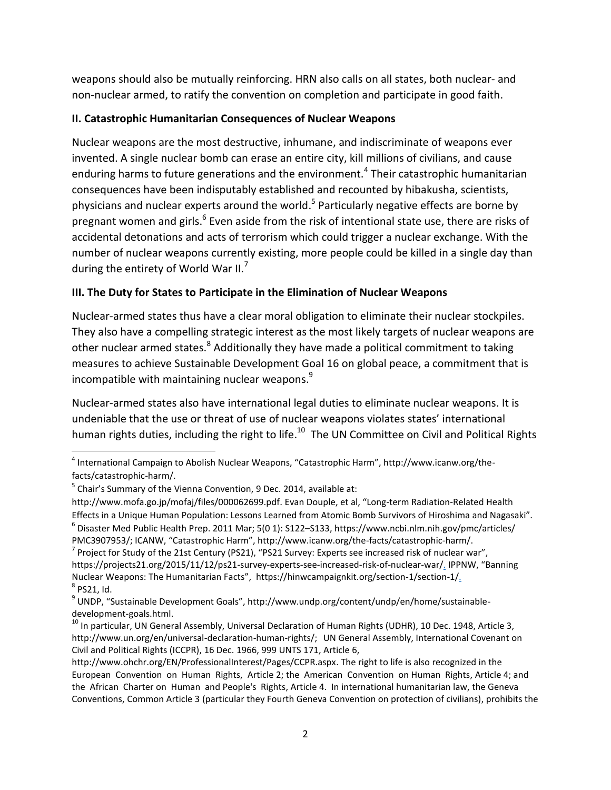weapons should also be mutually reinforcing. HRN also calls on all states, both nuclear- and non-nuclear armed, to ratify the convention on completion and participate in good faith.

### **II. Catastrophic Humanitarian Consequences of Nuclear Weapons**

Nuclear weapons are the most destructive, inhumane, and indiscriminate of weapons ever invented. A single nuclear bomb can erase an entire city, kill millions of civilians, and cause enduring harms to future generations and the environment.<sup>4</sup> Their catastrophic humanitarian consequences have been indisputably established and recounted by hibakusha, scientists, physicians and nuclear experts around the world.<sup>5</sup> Particularly negative effects are borne by pregnant women and girls.<sup>6</sup> Even aside from the risk of intentional state use, there are risks of accidental detonations and acts of terrorism which could trigger a nuclear exchange. With the number of nuclear weapons currently existing, more people could be killed in a single day than during the entirety of World War II.<sup>7</sup>

## **III. The Duty for States to Participate in the Elimination of Nuclear Weapons**

Nuclear-armed states thus have a clear moral obligation to eliminate their nuclear stockpiles. They also have a compelling strategic interest as the most likely targets of nuclear weapons are other nuclear armed states.<sup>8</sup> Additionally they have made a political commitment to taking measures to achieve Sustainable Development Goal 16 on global peace, a commitment that is incompatible with maintaining nuclear weapons. 9

Nuclear-armed states also have international legal duties to eliminate nuclear weapons. It is undeniable that the use or threat of use of nuclear weapons violates states' international human rights duties, including the right to life.<sup>10</sup> The UN Committee on Civil and Political Rights

l

<sup>&</sup>lt;sup>4</sup> International Campaign to Abolish Nuclear Weapons, "Catastrophic Harm", http://www.icanw.org/thefacts/catastrophic-harm/.

 $<sup>5</sup>$  Chair's Summary of the Vienna Convention, 9 Dec. 2014, available at:</sup>

http://www.mofa.go.jp/mofaj/files/000062699.pdf. Evan Douple, et al, "Long-term Radiation-Related Health Effects in a Unique Human Population: Lessons Learned from Atomic Bomb Survivors of Hiroshima and Nagasaki".  $^6$  Disaster Med Public Health Prep. 2011 Mar; 5(0 1): S122–S133, https://www.ncbi.nlm.nih.gov/pmc/articles/

PMC3907953/; ICANW, "Catastrophic Harm", http://www.icanw.org/the-facts/catastrophic-harm/.

 $^7$  Project for Study of the 21st Century (PS21), "PS21 Survey: Experts see increased risk of nuclear war", https://projects21.org/2015/11/12/ps21-survey-experts-see-increased-risk-of-nuclear-war/. IPPNW, "Banning Nuclear Weapons: The Humanitarian Facts", https://hinwcampaignkit.org/section-1/section-1/.  $^8$  PS21, Id.

<sup>&</sup>lt;sup>9</sup> UNDP, "Sustainable Development Goals", http://www.undp.org/content/undp/en/home/sustainabledevelopment-goals.html.

<sup>&</sup>lt;sup>10</sup> In particular, UN General Assembly, Universal Declaration of Human Rights (UDHR), 10 Dec. 1948, Article 3, http://www.un.org/en/universal-declaration-human-rights/; UN General Assembly, International Covenant on Civil and Political Rights (ICCPR), 16 Dec. 1966, 999 UNTS 171, Article 6,

http://www.ohchr.org/EN/ProfessionalInterest/Pages/CCPR.aspx. The right to life is also recognized in the European Convention on Human Rights, Article 2; the American Convention on Human Rights, Article 4; and the African Charter on Human and People's Rights, Article 4. In international humanitarian law, the Geneva Conventions, Common Article 3 (particular they Fourth Geneva Convention on protection of civilians), prohibits the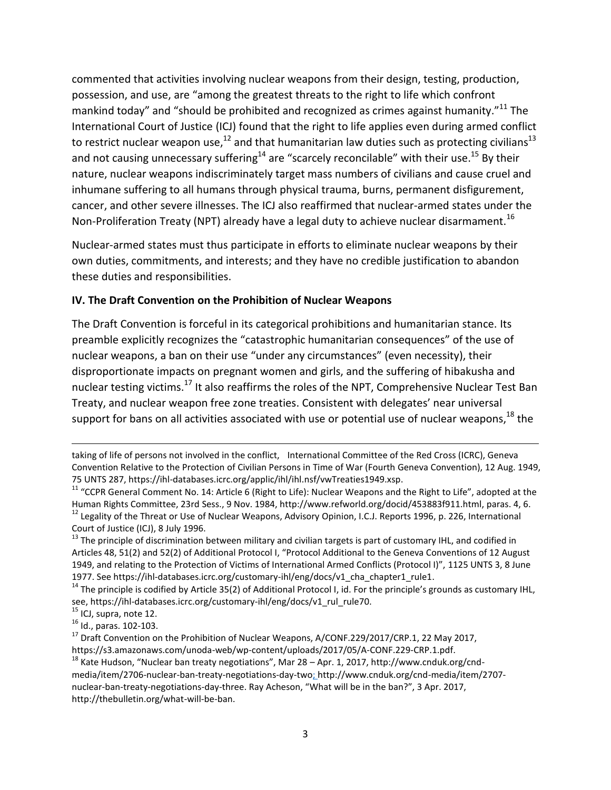commented that activities involving nuclear weapons from their design, testing, production, possession, and use, are "among the greatest threats to the right to life which confront mankind today" and "should be prohibited and recognized as crimes against humanity."<sup>11</sup> The International Court of Justice (ICJ) found that the right to life applies even during armed conflict to restrict nuclear weapon use, $^{12}$  and that humanitarian law duties such as protecting civilians<sup>13</sup> and not causing unnecessary suffering<sup>14</sup> are "scarcely reconcilable" with their use.<sup>15</sup> By their nature, nuclear weapons indiscriminately target mass numbers of civilians and cause cruel and inhumane suffering to all humans through physical trauma, burns, permanent disfigurement, cancer, and other severe illnesses. The ICJ also reaffirmed that nuclear-armed states under the Non-Proliferation Treaty (NPT) already have a legal duty to achieve nuclear disarmament.<sup>16</sup>

Nuclear-armed states must thus participate in efforts to eliminate nuclear weapons by their own duties, commitments, and interests; and they have no credible justification to abandon these duties and responsibilities.

#### **IV. The Draft Convention on the Prohibition of Nuclear Weapons**

The Draft Convention is forceful in its categorical prohibitions and humanitarian stance. Its preamble explicitly recognizes the "catastrophic humanitarian consequences" of the use of nuclear weapons, a ban on their use "under any circumstances" (even necessity), their disproportionate impacts on pregnant women and girls, and the suffering of hibakusha and nuclear testing victims.<sup>17</sup> It also reaffirms the roles of the NPT, Comprehensive Nuclear Test Ban Treaty, and nuclear weapon free zone treaties. Consistent with delegates' near universal support for bans on all activities associated with use or potential use of nuclear weapons,<sup>18</sup> the

<sup>13</sup> The principle of discrimination between military and civilian targets is part of customary IHL, and codified in Articles 48, 51(2) and 52(2) of Additional Protocol I, "Protocol Additional to the Geneva Conventions of 12 August 1949, and relating to the Protection of Victims of International Armed Conflicts (Protocol I)", 1125 UNTS 3, 8 June 1977. See https://ihl-databases.icrc.org/customary-ihl/eng/docs/v1\_cha\_chapter1\_rule1.

 $14$  The principle is codified by Article 35(2) of Additional Protocol I, id. For the principle's grounds as customary IHL, see, https://ihl-databases.icrc.org/customary-ihl/eng/docs/v1\_rul\_rule70.

 $\overline{\phantom{a}}$ 

taking of life of persons not involved in the conflict, International Committee of the Red Cross (ICRC), Geneva Convention Relative to the Protection of Civilian Persons in Time of War (Fourth Geneva Convention), 12 Aug. 1949, 75 UNTS 287, https://ihl-databases.icrc.org/applic/ihl/ihl.nsf/vwTreaties1949.xsp.

<sup>&</sup>lt;sup>11</sup> "CCPR General Comment No. 14: Article 6 (Right to Life): Nuclear Weapons and the Right to Life", adopted at the Human Rights Committee, 23rd Sess., 9 Nov. 1984, http://www.refworld.org/docid/453883f911.html, paras. 4, 6. <sup>12</sup> Legality of the Threat or Use of Nuclear Weapons, Advisory Opinion, I.C.J. Reports 1996, p. 226, International Court of Justice (ICJ), 8 July 1996.

<sup>&</sup>lt;sup>15</sup> ICJ, supra, note 12.

<sup>16</sup> Id., paras. 102-103.

 $17$  Draft Convention on the Prohibition of Nuclear Weapons, A/CONF.229/2017/CRP.1, 22 May 2017,

https://s3.amazonaws.com/unoda-web/wp-content/uploads/2017/05/A-CONF.229-CRP.1.pdf.

<sup>&</sup>lt;sup>18</sup> Kate Hudson, "Nuclear ban treaty negotiations", Mar 28 – Apr. 1, 2017, http://www.cnduk.org/cndmedia/item/2706-nuclear-ban-treaty-negotiations-day-two; http://www.cnduk.org/cnd-media/item/2707 nuclear-ban-treaty-negotiations-day-three. Ray Acheson, "What will be in the ban?", 3 Apr. 2017, http://thebulletin.org/what-will-be-ban.